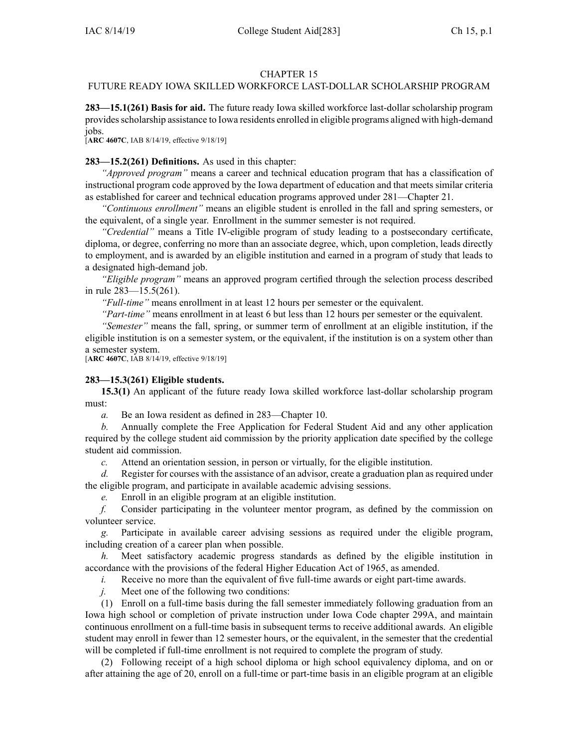## CHAPTER 15

# FUTURE READY IOWA SKILLED WORKFORCE LAST-DOLLAR SCHOLARSHIP PROGRAM

**283—15.1(261) Basis for aid.** The future ready Iowa skilled workforce last-dollar scholarship program providesscholarship assistance to Iowa residents enrolled in eligible programs aligned with high-demand jobs.

[**ARC [4607C](https://www.legis.iowa.gov/docs/aco/arc/4607C.pdf)**, IAB 8/14/19, effective 9/18/19]

## **283—15.2(261) Definitions.** As used in this chapter:

*"Approved program"* means <sup>a</sup> career and technical education program that has <sup>a</sup> classification of instructional program code approved by the Iowa department of education and that meets similar criteria as established for career and technical education programs approved under 281—Chapter 21.

*"Continuous enrollment"* means an eligible student is enrolled in the fall and spring semesters, or the equivalent, of <sup>a</sup> single year. Enrollment in the summer semester is not required.

*"Credential"* means <sup>a</sup> Title IV-eligible program of study leading to <sup>a</sup> postsecondary certificate, diploma, or degree, conferring no more than an associate degree, which, upon completion, leads directly to employment, and is awarded by an eligible institution and earned in <sup>a</sup> program of study that leads to <sup>a</sup> designated high-demand job.

*"Eligible program"* means an approved program certified through the selection process described in rule 283—15.5(261).

*"Full-time"* means enrollment in at least 12 hours per semester or the equivalent.

*"Part-time"* means enrollment in at least 6 but less than 12 hours per semester or the equivalent.

*"Semester"* means the fall, spring, or summer term of enrollment at an eligible institution, if the eligible institution is on <sup>a</sup> semester system, or the equivalent, if the institution is on <sup>a</sup> system other than <sup>a</sup> semester system.

[**ARC [4607C](https://www.legis.iowa.gov/docs/aco/arc/4607C.pdf)**, IAB 8/14/19, effective 9/18/19]

## **283—15.3(261) Eligible students.**

**15.3(1)** An applicant of the future ready Iowa skilled workforce last-dollar scholarship program must:

*a.* Be an Iowa resident as defined in 283—Chapter 10.

*b.* Annually complete the Free Application for Federal Student Aid and any other application required by the college student aid commission by the priority application date specified by the college student aid commission.

*c.* Attend an orientation session, in person or virtually, for the eligible institution.

*d.* Register for courses with the assistance of an advisor, create <sup>a</sup> graduation plan as required under the eligible program, and participate in available academic advising sessions.

*e.* Enroll in an eligible program at an eligible institution.

*f.* Consider participating in the volunteer mentor program, as defined by the commission on volunteer service.

Participate in available career advising sessions as required under the eligible program, including creation of <sup>a</sup> career plan when possible.

*h.* Meet satisfactory academic progress standards as defined by the eligible institution in accordance with the provisions of the federal Higher Education Act of 1965, as amended.

*i.* Receive no more than the equivalent of five full-time awards or eight part-time awards.

*j.* Meet one of the following two conditions:

(1) Enroll on <sup>a</sup> full-time basis during the fall semester immediately following graduation from an Iowa high school or completion of private instruction under Iowa Code chapter [299A](https://www.legis.iowa.gov/docs/ico/chapter/299A.pdf), and maintain continuous enrollment on <sup>a</sup> full-time basis in subsequent terms to receive additional awards. An eligible student may enroll in fewer than 12 semester hours, or the equivalent, in the semester that the credential will be completed if full-time enrollment is not required to complete the program of study.

(2) Following receipt of <sup>a</sup> high school diploma or high school equivalency diploma, and on or after attaining the age of 20, enroll on <sup>a</sup> full-time or part-time basis in an eligible program at an eligible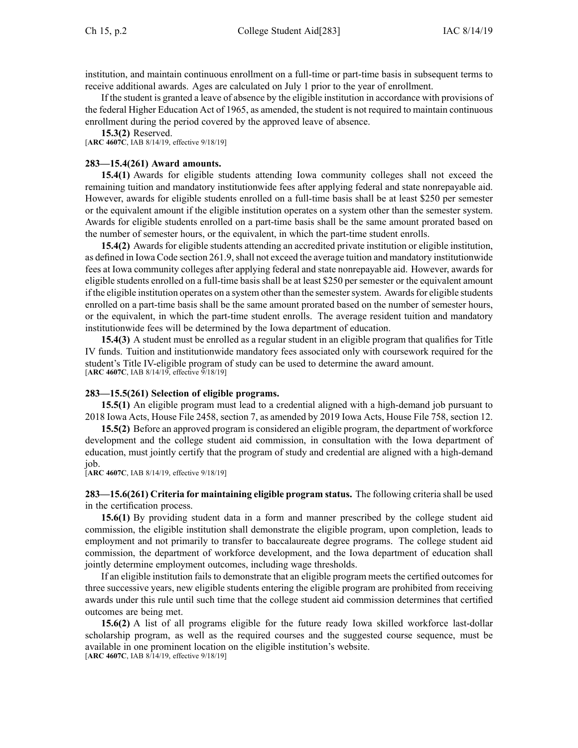institution, and maintain continuous enrollment on <sup>a</sup> full-time or part-time basis in subsequent terms to receive additional awards. Ages are calculated on July 1 prior to the year of enrollment.

If the student is granted <sup>a</sup> leave of absence by the eligible institution in accordance with provisions of the federal Higher Education Act of 1965, as amended, the student is not required to maintain continuous enrollment during the period covered by the approved leave of absence.

**15.3(2)** Reserved.

[**ARC [4607C](https://www.legis.iowa.gov/docs/aco/arc/4607C.pdf)**, IAB 8/14/19, effective 9/18/19]

#### **283—15.4(261) Award amounts.**

**15.4(1)** Awards for eligible students attending Iowa community colleges shall not exceed the remaining tuition and mandatory institutionwide fees after applying federal and state nonrepayable aid. However, awards for eligible students enrolled on <sup>a</sup> full-time basis shall be at least \$250 per semester or the equivalent amount if the eligible institution operates on <sup>a</sup> system other than the semester system. Awards for eligible students enrolled on <sup>a</sup> part-time basis shall be the same amount prorated based on the number of semester hours, or the equivalent, in which the part-time student enrolls.

**15.4(2)** Awards for eligible students attending an accredited private institution or eligible institution, as defined in Iowa Code section [261.9](https://www.legis.iowa.gov/docs/ico/section/261.9.pdf), shall not exceed the average tuition and mandatory institutionwide fees at Iowa community colleges after applying federal and state nonrepayable aid. However, awards for eligible students enrolled on <sup>a</sup> full-time basis shall be at least \$250 per semester or the equivalent amount if the eligible institution operates on a system other than the semester system. Awards for eligible students enrolled on <sup>a</sup> part-time basis shall be the same amount prorated based on the number of semester hours, or the equivalent, in which the part-time student enrolls. The average resident tuition and mandatory institutionwide fees will be determined by the Iowa department of education.

**15.4(3)** A student must be enrolled as <sup>a</sup> regular student in an eligible program that qualifies for Title IV funds. Tuition and institutionwide mandatory fees associated only with coursework required for the student's Title IV-eligible program of study can be used to determine the award amount. [ARC [4607C](https://www.legis.iowa.gov/docs/aco/arc/4607C.pdf), IAB 8/14/19, effective 9/18/19]

#### **283—15.5(261) Selection of eligible programs.**

**15.5(1)** An eligible program must lead to <sup>a</sup> credential aligned with <sup>a</sup> high-demand job pursuan<sup>t</sup> to 2018 Iowa Acts, House File 2458, section 7, as amended by 2019 Iowa Acts, House File 758, section 12.

**15.5(2)** Before an approved program is considered an eligible program, the department of workforce development and the college student aid commission, in consultation with the Iowa department of education, must jointly certify that the program of study and credential are aligned with <sup>a</sup> high-demand job.

[**ARC [4607C](https://www.legis.iowa.gov/docs/aco/arc/4607C.pdf)**, IAB 8/14/19, effective 9/18/19]

**283—15.6(261) Criteria for maintaining eligible program status.** The following criteria shall be used in the certification process.

**15.6(1)** By providing student data in <sup>a</sup> form and manner prescribed by the college student aid commission, the eligible institution shall demonstrate the eligible program, upon completion, leads to employment and not primarily to transfer to baccalaureate degree programs. The college student aid commission, the department of workforce development, and the Iowa department of education shall jointly determine employment outcomes, including wage thresholds.

If an eligible institution fails to demonstrate that an eligible program meets the certified outcomes for three successive years, new eligible students entering the eligible program are prohibited from receiving awards under this rule until such time that the college student aid commission determines that certified outcomes are being met.

**15.6(2)** A list of all programs eligible for the future ready Iowa skilled workforce last-dollar scholarship program, as well as the required courses and the suggested course sequence, must be available in one prominent location on the eligible institution's website. [**ARC [4607C](https://www.legis.iowa.gov/docs/aco/arc/4607C.pdf)**, IAB 8/14/19, effective 9/18/19]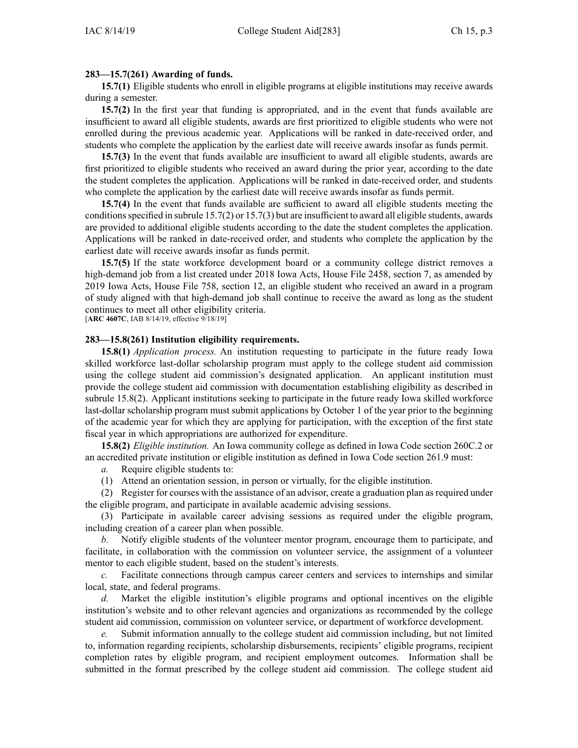### **283—15.7(261) Awarding of funds.**

**15.7(1)** Eligible students who enroll in eligible programs at eligible institutions may receive awards during <sup>a</sup> semester.

**15.7(2)** In the first year that funding is appropriated, and in the event that funds available are insufficient to award all eligible students, awards are first prioritized to eligible students who were not enrolled during the previous academic year. Applications will be ranked in date-received order, and students who complete the application by the earliest date will receive awards insofar as funds permit.

**15.7(3)** In the event that funds available are insufficient to award all eligible students, awards are first prioritized to eligible students who received an award during the prior year, according to the date the student completes the application. Applications will be ranked in date-received order, and students who complete the application by the earliest date will receive awards insofar as funds permit.

**15.7(4)** In the event that funds available are sufficient to award all eligible students meeting the conditions specified in subrule  $15.7(2)$  or  $15.7(3)$  but are insufficient to award all eligible students, awards are provided to additional eligible students according to the date the student completes the application. Applications will be ranked in date-received order, and students who complete the application by the earliest date will receive awards insofar as funds permit.

**15.7(5)** If the state workforce development board or <sup>a</sup> community college district removes <sup>a</sup> high-demand job from <sup>a</sup> list created under 2018 Iowa Acts, House File 2458, section 7, as amended by 2019 Iowa Acts, House File 758, section 12, an eligible student who received an award in <sup>a</sup> program of study aligned with that high-demand job shall continue to receive the award as long as the student continues to meet all other eligibility criteria.

[**ARC [4607C](https://www.legis.iowa.gov/docs/aco/arc/4607C.pdf)**, IAB 8/14/19, effective 9/18/19]

#### **283—15.8(261) Institution eligibility requirements.**

**15.8(1)** *Application process.* An institution requesting to participate in the future ready Iowa skilled workforce last-dollar scholarship program must apply to the college student aid commission using the college student aid commission's designated application. An applicant institution must provide the college student aid commission with documentation establishing eligibility as described in subrule 15.8(2). Applicant institutions seeking to participate in the future ready Iowa skilled workforce last-dollar scholarship program must submit applications by October 1 of the year prior to the beginning of the academic year for which they are applying for participation, with the exception of the first state fiscal year in which appropriations are authorized for expenditure.

**15.8(2)** *Eligible institution.* An Iowa community college as defined in Iowa Code section [260C.2](https://www.legis.iowa.gov/docs/ico/section/260C.2.pdf) or an accredited private institution or eligible institution as defined in Iowa Code section [261.9](https://www.legis.iowa.gov/docs/ico/section/261.9.pdf) must:

*a.* Require eligible students to:

(1) Attend an orientation session, in person or virtually, for the eligible institution.

(2) Register for courses with the assistance of an advisor, create <sup>a</sup> graduation plan as required under the eligible program, and participate in available academic advising sessions.

(3) Participate in available career advising sessions as required under the eligible program, including creation of <sup>a</sup> career plan when possible.

*b.* Notify eligible students of the volunteer mentor program, encourage them to participate, and facilitate, in collaboration with the commission on volunteer service, the assignment of <sup>a</sup> volunteer mentor to each eligible student, based on the student's interests.

*c.* Facilitate connections through campus career centers and services to internships and similar local, state, and federal programs.

*d.* Market the eligible institution's eligible programs and optional incentives on the eligible institution's website and to other relevant agencies and organizations as recommended by the college student aid commission, commission on volunteer service, or department of workforce development.

*e.* Submit information annually to the college student aid commission including, but not limited to, information regarding recipients, scholarship disbursements, recipients' eligible programs, recipient completion rates by eligible program, and recipient employment outcomes. Information shall be submitted in the format prescribed by the college student aid commission. The college student aid